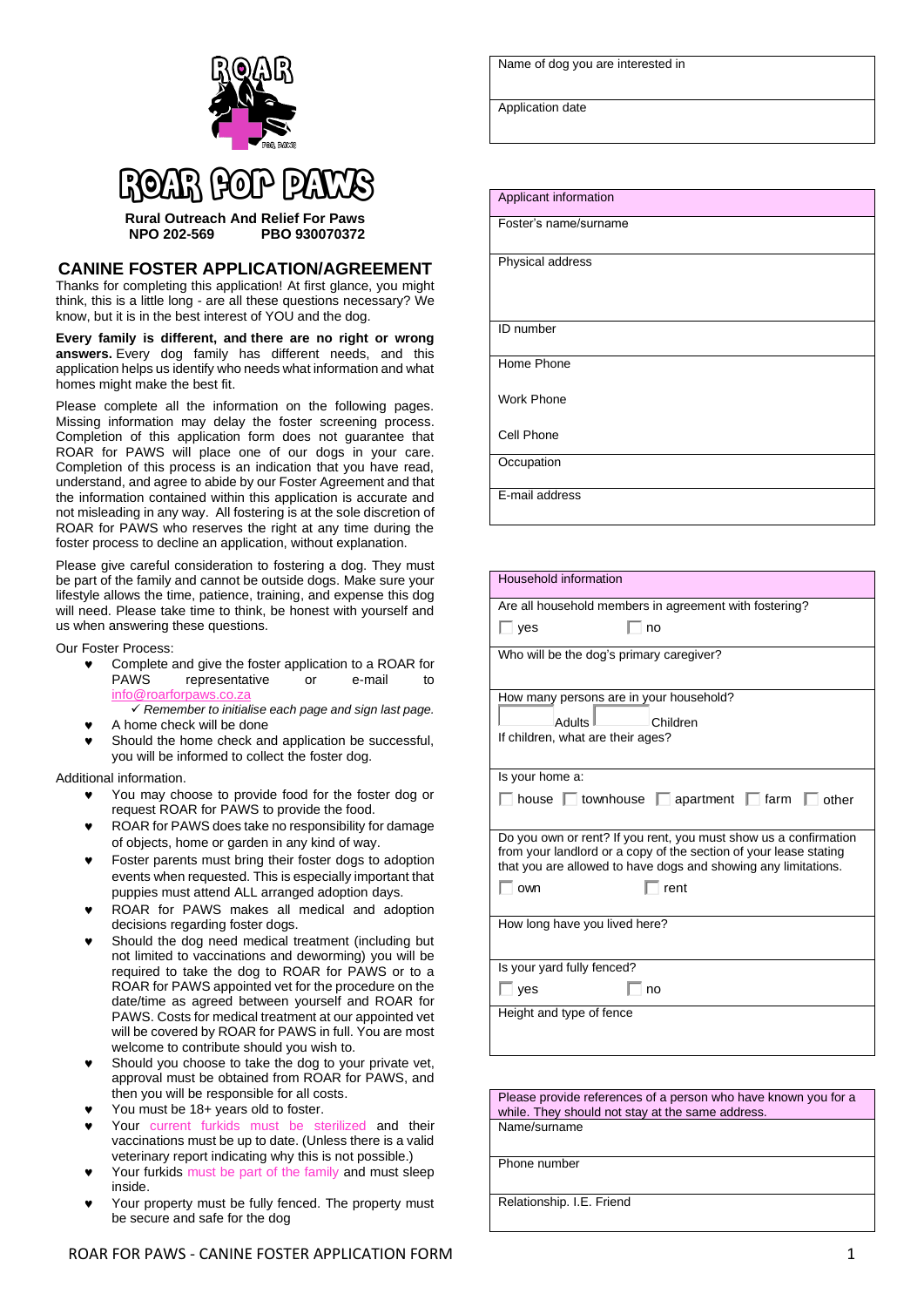

## **Rural Outreach And Relief For Paws**

**NPO 202-569 PBO 930070372**

## **CANINE FOSTER APPLICATION/AGREEMENT**

Thanks for completing this application! At first glance, you might think, this is a little long - are all these questions necessary? We know, but it is in the best interest of YOU and the dog.

**Every family is different, and there are no right or wrong answers.** Every dog family has different needs, and this application helps us identify who needs what information and what homes might make the best fit.

Please complete all the information on the following pages. Missing information may delay the foster screening process. Completion of this application form does not guarantee that ROAR for PAWS will place one of our dogs in your care. Completion of this process is an indication that you have read, understand, and agree to abide by our Foster Agreement and that the information contained within this application is accurate and not misleading in any way. All fostering is at the sole discretion of ROAR for PAWS who reserves the right at any time during the foster process to decline an application, without explanation.

Please give careful consideration to fostering a dog. They must be part of the family and cannot be outside dogs. Make sure your lifestyle allows the time, patience, training, and expense this dog will need. Please take time to think, be honest with yourself and us when answering these questions.

Our Foster Process:

- Complete and give the foster application to a ROAR for PAWS representative or e-mail info@
- ✓ *Remember to initialise each page and sign last page.* A home check will be done
- Should the home check and application be successful, you will be informed to collect the foster dog.

Additional information.

- You may choose to provide food for the foster dog or request ROAR for PAWS to provide the food.
- ROAR for PAWS does take no responsibility for damage of objects, home or garden in any kind of way.
- Foster parents must bring their foster dogs to adoption events when requested. This is especially important that puppies must attend ALL arranged adoption days.
- ROAR for PAWS makes all medical and adoption decisions regarding foster dogs.
- Should the dog need medical treatment (including but not limited to vaccinations and deworming) you will be required to take the dog to ROAR for PAWS or to a ROAR for PAWS appointed vet for the procedure on the date/time as agreed between yourself and ROAR for PAWS. Costs for medical treatment at our appointed vet will be covered by ROAR for PAWS in full. You are most welcome to contribute should you wish to.
- Should you choose to take the dog to your private vet, approval must be obtained from ROAR for PAWS, and then you will be responsible for all costs.
- You must be 18+ years old to foster.
- Your current furkids must be sterilized and their vaccinations must be up to date. (Unless there is a valid veterinary report indicating why this is not possible.)
- Your furkids must be part of the family and must sleep inside.
- Your property must be fully fenced. The property must be secure and safe for the dog

|  |  | Name of dog you are interested in |
|--|--|-----------------------------------|
|--|--|-----------------------------------|

Application date

Applicant information Foster's name/surname Physical address ID number Home Phone Work Phone Cell Phone **Occupation** E-mail address

| Household information                                                                                                                                                                                   |  |  |  |
|---------------------------------------------------------------------------------------------------------------------------------------------------------------------------------------------------------|--|--|--|
| Are all household members in agreement with fostering?                                                                                                                                                  |  |  |  |
| $\Box$ ves<br>no                                                                                                                                                                                        |  |  |  |
| Who will be the dog's primary caregiver?                                                                                                                                                                |  |  |  |
| How many persons are in your household?                                                                                                                                                                 |  |  |  |
| atlılhA<br>Children                                                                                                                                                                                     |  |  |  |
| If children, what are their ages?                                                                                                                                                                       |  |  |  |
|                                                                                                                                                                                                         |  |  |  |
| Is your home a:                                                                                                                                                                                         |  |  |  |
| house townhouse apartment farm other                                                                                                                                                                    |  |  |  |
| Do you own or rent? If you rent, you must show us a confirmation<br>from your landlord or a copy of the section of your lease stating<br>that you are allowed to have dogs and showing any limitations. |  |  |  |
| rent<br>own                                                                                                                                                                                             |  |  |  |
|                                                                                                                                                                                                         |  |  |  |
| How long have you lived here?                                                                                                                                                                           |  |  |  |
|                                                                                                                                                                                                         |  |  |  |
| Is your yard fully fenced?                                                                                                                                                                              |  |  |  |
| ves<br>no                                                                                                                                                                                               |  |  |  |
| Height and type of fence                                                                                                                                                                                |  |  |  |
|                                                                                                                                                                                                         |  |  |  |
|                                                                                                                                                                                                         |  |  |  |

Please provide references of a person who have known you for a while. They should not stay at the same address Name/surname

Phone number

Relationship. I.E. Friend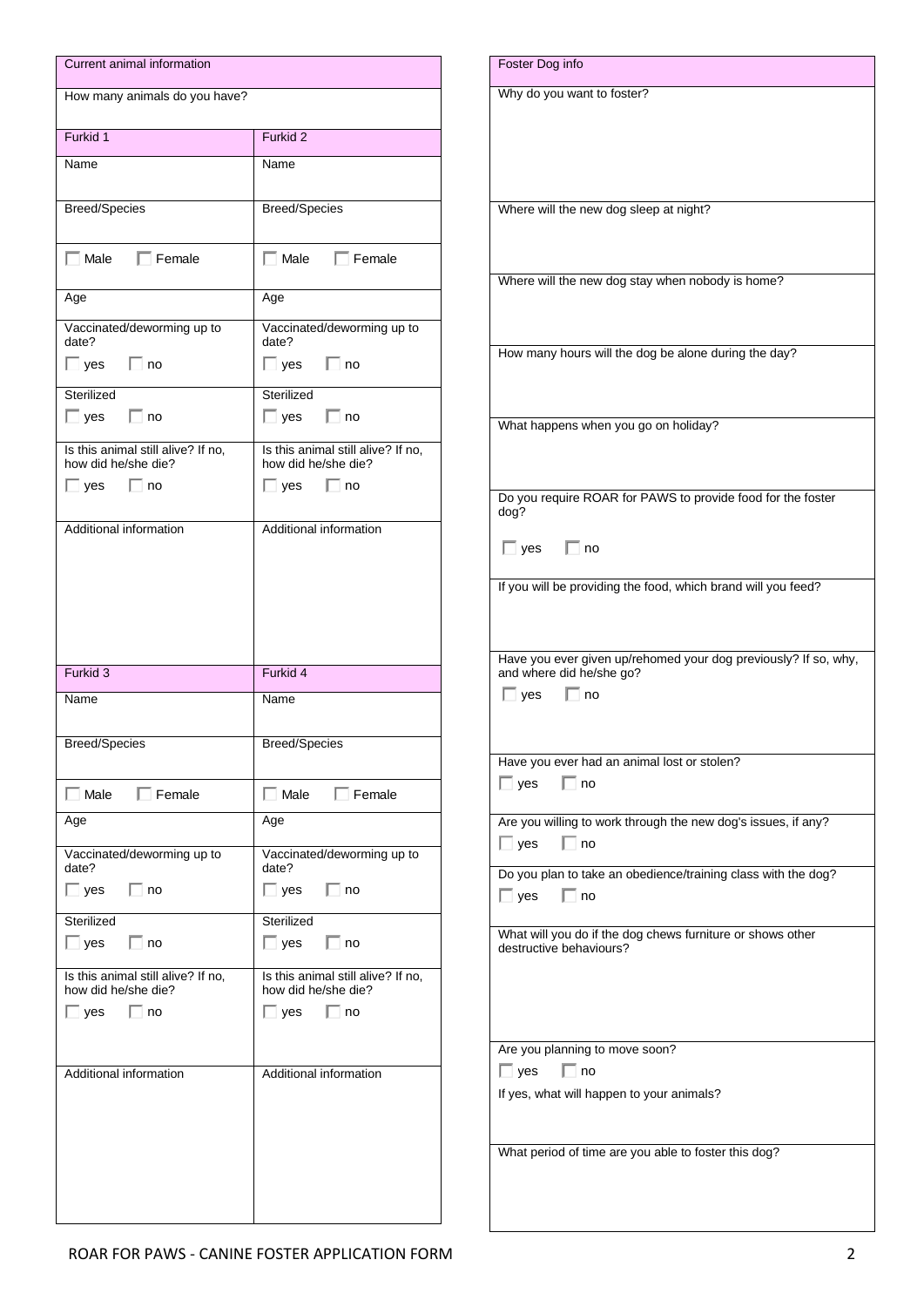| Current animal information                                |                                                           |
|-----------------------------------------------------------|-----------------------------------------------------------|
| How many animals do you have?                             |                                                           |
| Furkid 1                                                  | Furkid 2                                                  |
| Name                                                      | Name                                                      |
| <b>Breed/Species</b>                                      | <b>Breed/Species</b>                                      |
| $\Box$ Male $\Box$ Female                                 | $\Box$ Male $\Box$ Female                                 |
| Age                                                       | Age                                                       |
| Vaccinated/deworming up to<br>date?                       | Vaccinated/deworming up to<br>date?                       |
| $\Box$ yes<br>$\Box$ no                                   | $\Box$ yes<br>$\Box$ no                                   |
| Sterilized<br>$\Box$ yes $\Box$ no                        | Sterilized<br>$\Box$ yes $\Box$ no                        |
| Is this animal still alive? If no,                        | Is this animal still alive? If no,                        |
| how did he/she die?                                       | how did he/she die?                                       |
| $\Box$ yes<br>$\Box$ no                                   | $\Box$ yes<br>$\Box$ no                                   |
| Additional information                                    | Additional information                                    |
|                                                           |                                                           |
|                                                           |                                                           |
|                                                           |                                                           |
|                                                           |                                                           |
| Furkid 3                                                  | Furkid 4                                                  |
| Name                                                      | Name                                                      |
| <b>Breed/Species</b>                                      | <b>Breed/Species</b>                                      |
| $\Box$ Male $\Box$ Female                                 | $\Box$ Male $\Box$ Female                                 |
| Age                                                       | Age                                                       |
| Vaccinated/deworming up to<br>date?                       | Vaccinated/deworming up to<br>date?                       |
| $\Box$ yes $\Box$ no                                      | $\Box$ yes $\Box$ no                                      |
| Sterilized                                                | Sterilized                                                |
| $\Box$ yes $\Box$ no                                      | $\Box$ yes $\Box$ no                                      |
| Is this animal still alive? If no,<br>how did he/she die? | Is this animal still alive? If no,<br>how did he/she die? |
| $\Box$ yes $\Box$ no                                      | $\Box$ yes<br>$\Box$ no                                   |
|                                                           |                                                           |
| Additional information                                    | Additional information                                    |
|                                                           |                                                           |
|                                                           |                                                           |
|                                                           |                                                           |
|                                                           |                                                           |
|                                                           |                                                           |
|                                                           |                                                           |

| Why do you want to foster?                                                            |
|---------------------------------------------------------------------------------------|
|                                                                                       |
|                                                                                       |
|                                                                                       |
|                                                                                       |
| Where will the new dog sleep at night?                                                |
|                                                                                       |
|                                                                                       |
| Where will the new dog stay when nobody is home?                                      |
|                                                                                       |
|                                                                                       |
| How many hours will the dog be alone during the day?                                  |
|                                                                                       |
|                                                                                       |
| What happens when you go on holiday?                                                  |
|                                                                                       |
|                                                                                       |
| Do you require ROAR for PAWS to provide food for the foster                           |
| dog?                                                                                  |
| $\Box$ yes $\Box$ no                                                                  |
|                                                                                       |
| If you will be providing the food, which brand will you feed?                         |
|                                                                                       |
|                                                                                       |
| Have you ever given up/rehomed your dog previously? If so, why,                       |
| and where did he/she go?<br>$\Box$ no<br>$\Box$ yes                                   |
|                                                                                       |
|                                                                                       |
| Have you ever had an animal lost or stolen?                                           |
| $\Box$ yes<br>no                                                                      |
|                                                                                       |
| Are you willing to work through the new dog's issues, if any?                         |
| $\Box$ no<br>$\Box$ yes                                                               |
|                                                                                       |
| Do you plan to take an obedience/training class with the dog?                         |
| $\Box$ yes<br>∣ ⊓no                                                                   |
|                                                                                       |
| What will you do if the dog chews furniture or shows other<br>destructive behaviours? |
|                                                                                       |
|                                                                                       |
|                                                                                       |
|                                                                                       |
| Are you planning to move soon?                                                        |
| $\Box$ yes<br>$\Box$ no                                                               |
| If yes, what will happen to your animals?                                             |
|                                                                                       |
| What period of time are you able to foster this dog?                                  |
|                                                                                       |
|                                                                                       |